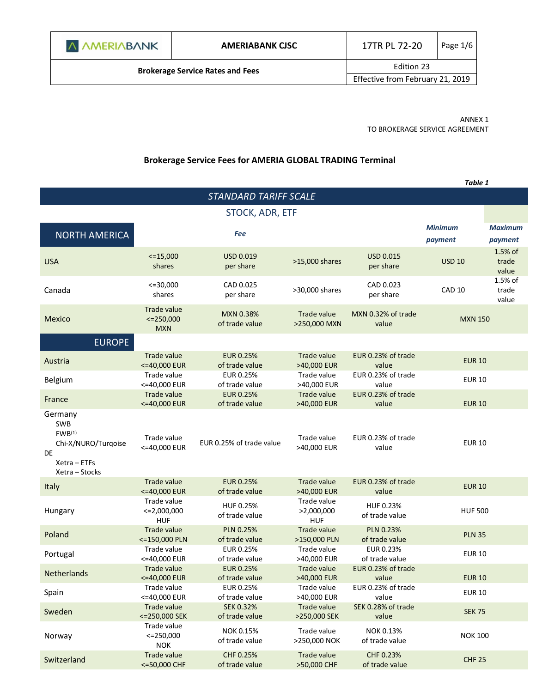| A AMERIABANK                            | <b>AMERIABANK CISC</b>           | 17TR PL 72-20 | Page $1/6$ |
|-----------------------------------------|----------------------------------|---------------|------------|
| <b>Brokerage Service Rates and Fees</b> | Edition 23                       |               |            |
|                                         | Effective from February 21, 2019 |               |            |
|                                         |                                  |               |            |

ANNEX 1 TO BROKERAGE SERVICE AGREEMENT

# **Brokerage Service Fees for AMERIA GLOBAL TRADING Terminal**

|                                                                                                            |                                               |                                    |                                         |                                    | Table 1                   |                           |
|------------------------------------------------------------------------------------------------------------|-----------------------------------------------|------------------------------------|-----------------------------------------|------------------------------------|---------------------------|---------------------------|
|                                                                                                            |                                               | STANDARD TARIFF SCALE              |                                         |                                    |                           |                           |
|                                                                                                            |                                               | STOCK, ADR, ETF                    |                                         |                                    |                           |                           |
| <b>NORTH AMERICA</b>                                                                                       |                                               | <b>Fee</b>                         |                                         |                                    | <b>Minimum</b><br>payment | <b>Maximum</b><br>payment |
| <b>USA</b>                                                                                                 | $<=15,000$<br>shares                          | <b>USD 0.019</b><br>per share      | >15,000 shares                          | <b>USD 0.015</b><br>per share      | <b>USD 10</b>             | 1.5% of<br>trade<br>value |
| Canada                                                                                                     | $<=30,000$<br>shares                          | CAD 0.025<br>per share             | >30,000 shares                          | CAD 0.023<br>per share             | <b>CAD 10</b>             | 1.5% of<br>trade<br>value |
| Mexico                                                                                                     | Trade value<br>$\leq$ = 250,000<br><b>MXN</b> | <b>MXN 0.38%</b><br>of trade value | Trade value<br>>250,000 MXN             | MXN 0.32% of trade<br>value        | <b>MXN 150</b>            |                           |
| <b>EUROPE</b>                                                                                              |                                               |                                    |                                         |                                    |                           |                           |
| Austria                                                                                                    | Trade value<br><= 40,000 EUR                  | <b>EUR 0.25%</b><br>of trade value | Trade value<br>>40,000 EUR              | EUR 0.23% of trade<br>value        | <b>EUR 10</b>             |                           |
| Belgium                                                                                                    | Trade value<br><=40,000 EUR                   | EUR 0.25%<br>of trade value        | Trade value<br>>40,000 EUR              | EUR 0.23% of trade<br>value        | <b>EUR 10</b>             |                           |
| France                                                                                                     | <b>Trade value</b><br><= 40,000 EUR           | <b>EUR 0.25%</b><br>of trade value | Trade value<br>>40,000 EUR              | EUR 0.23% of trade<br>value        | <b>EUR 10</b>             |                           |
| Germany<br><b>SWB</b><br>FWB <sup>(1)</sup><br>Chi-X/NURO/Turqoise<br>DE<br>Xetra - ETFs<br>Xetra - Stocks | Trade value<br><= 40,000 EUR                  | EUR 0.25% of trade value           | Trade value<br>>40,000 EUR              | EUR 0.23% of trade<br>value        | <b>EUR 10</b>             |                           |
| Italy                                                                                                      | <b>Trade value</b><br><= 40,000 EUR           | <b>EUR 0.25%</b><br>of trade value | Trade value<br>>40,000 EUR              | EUR 0.23% of trade<br>value        | <b>EUR 10</b>             |                           |
| Hungary                                                                                                    | Trade value<br>$\leq 2,000,000$<br><b>HUF</b> | HUF 0.25%<br>of trade value        | Trade value<br>>2,000,000<br><b>HUF</b> | HUF 0.23%<br>of trade value        | <b>HUF 500</b>            |                           |
| Poland                                                                                                     | Trade value<br><= 150,000 PLN                 | <b>PLN 0.25%</b><br>of trade value | Trade value<br>>150,000 PLN             | <b>PLN 0.23%</b><br>of trade value | <b>PLN 35</b>             |                           |
| Portugal                                                                                                   | Trade value<br><=40.000 EUR                   | EUR 0.25%<br>of trade value        | Trade value<br>>40,000 EUR              | EUR 0.23%<br>of trade value        | <b>EUR 10</b>             |                           |
| Netherlands                                                                                                | Trade value<br><= 40,000 EUR                  | <b>EUR 0.25%</b><br>of trade value | Trade value<br>>40,000 EUR              | EUR 0.23% of trade<br>value        | <b>EUR 10</b>             |                           |
| Spain                                                                                                      | Trade value<br><= 40,000 EUR                  | EUR 0.25%<br>of trade value        | Trade value<br>>40,000 EUR              | EUR 0.23% of trade<br>value        | <b>EUR 10</b>             |                           |
| Sweden                                                                                                     | Trade value<br><= 250,000 SEK                 | <b>SEK 0.32%</b><br>of trade value | Trade value<br>>250,000 SEK             | SEK 0.28% of trade<br>value        | <b>SEK 75</b>             |                           |
| Norway                                                                                                     | Trade value<br>$<=$ 250,000<br><b>NOK</b>     | <b>NOK 0.15%</b><br>of trade value | Trade value<br>>250,000 NOK             | NOK 0.13%<br>of trade value        | <b>NOK 100</b>            |                           |
| Switzerland                                                                                                | Trade value<br><= 50,000 CHF                  | CHF 0.25%<br>of trade value        | Trade value<br>>50,000 CHF              | CHF 0.23%<br>of trade value        | <b>CHF 25</b>             |                           |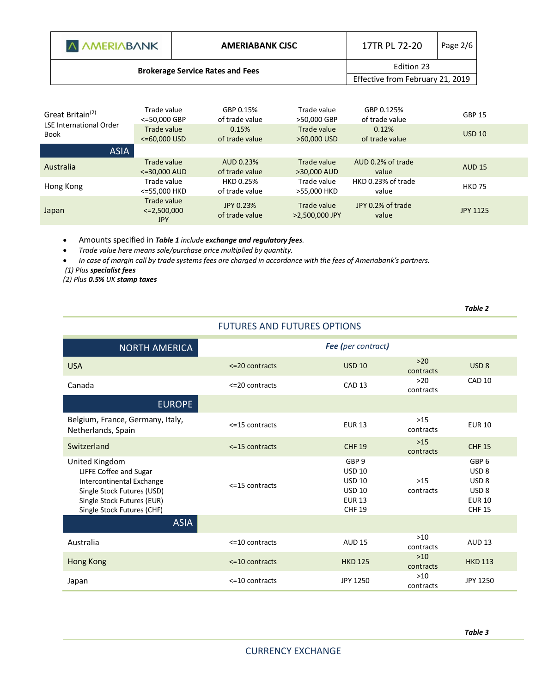| A AMERIABANK                            | <b>AMERIABANK CISC</b>           | 17TR PL 72-20 | Page 2/6 |
|-----------------------------------------|----------------------------------|---------------|----------|
| <b>Brokerage Service Rates and Fees</b> | Edition 23                       |               |          |
|                                         | Effective from February 21, 2019 |               |          |
|                                         |                                  |               |          |

| Great Britain <sup>(2)</sup>           | Trade value<br><=50,000 GBP                   | GBP 0.15%<br>of trade value | Trade value<br>>50,000 GBP    | GBP 0.125%<br>of trade value | <b>GBP 15</b>   |
|----------------------------------------|-----------------------------------------------|-----------------------------|-------------------------------|------------------------------|-----------------|
| <b>LSE International Order</b><br>Book | Trade value<br>$<=60,000$ USD                 | 0.15%<br>of trade value     | Trade value<br>>60,000 USD    | 0.12%<br>of trade value      | <b>USD 10</b>   |
| <b>ASIA</b>                            |                                               |                             |                               |                              |                 |
| Australia                              | Trade value<br><=30,000 AUD                   | AUD 0.23%<br>of trade value | Trade value<br>>30,000 AUD    | AUD 0.2% of trade<br>value   | <b>AUD 15</b>   |
| Hong Kong                              | Trade value<br><=55,000 HKD                   | HKD 0.25%<br>of trade value | Trade value<br>>55,000 HKD    | HKD 0.23% of trade<br>value  | <b>HKD 75</b>   |
| Japan                                  | Trade value<br>$\leq$ 2,500,000<br><b>JPY</b> | JPY 0.23%<br>of trade value | Trade value<br>>2,500,000 JPY | JPY 0.2% of trade<br>value   | <b>JPY 1125</b> |

Amounts specified in *Table 1 include exchange and regulatory fees.* 

*Trade value here means sale/purchase price multiplied by quantity.*

 *In case of margin call by trade systems fees are charged in accordance with the fees of Ameriabank's partners. (1) Plus specialist fees*

*(2) Plus 0.5% UK stamp taxes*

|                                                                                                                                                                 |                      |                                                                                            |                    | Table 2                                                                                                        |  |  |
|-----------------------------------------------------------------------------------------------------------------------------------------------------------------|----------------------|--------------------------------------------------------------------------------------------|--------------------|----------------------------------------------------------------------------------------------------------------|--|--|
| <b>FUTURES AND FUTURES OPTIONS</b>                                                                                                                              |                      |                                                                                            |                    |                                                                                                                |  |  |
| <b>NORTH AMERICA</b>                                                                                                                                            |                      | Fee (per contract)                                                                         |                    |                                                                                                                |  |  |
| <b>USA</b>                                                                                                                                                      | $\leq$ 20 contracts  | <b>USD 10</b>                                                                              | $>20$<br>contracts | USD <sub>8</sub>                                                                                               |  |  |
| Canada                                                                                                                                                          | $\leq$ 20 contracts  | CAD <sub>13</sub>                                                                          | $>20$<br>contracts | <b>CAD 10</b>                                                                                                  |  |  |
| <b>EUROPE</b>                                                                                                                                                   |                      |                                                                                            |                    |                                                                                                                |  |  |
| Belgium, France, Germany, Italy,<br>Netherlands, Spain                                                                                                          | <= 15 contracts      | <b>EUR 13</b>                                                                              | $>15$<br>contracts | <b>EUR 10</b>                                                                                                  |  |  |
| Switzerland                                                                                                                                                     | $\le$ 15 contracts   | <b>CHF 19</b>                                                                              | $>15$<br>contracts | <b>CHF 15</b>                                                                                                  |  |  |
| United Kingdom<br>LIFFE Coffee and Sugar<br>Intercontinental Exchange<br>Single Stock Futures (USD)<br>Single Stock Futures (EUR)<br>Single Stock Futures (CHF) | $<=15$ contracts     | GBP 9<br><b>USD 10</b><br><b>USD 10</b><br><b>USD 10</b><br><b>EUR 13</b><br><b>CHF 19</b> | $>15$<br>contracts | GBP <sub>6</sub><br>USD <sub>8</sub><br>USD <sub>8</sub><br>USD <sub>8</sub><br><b>EUR 10</b><br><b>CHF 15</b> |  |  |
| <b>ASIA</b>                                                                                                                                                     |                      |                                                                                            |                    |                                                                                                                |  |  |
| Australia                                                                                                                                                       | $\leq$ =10 contracts | <b>AUD 15</b>                                                                              | $>10$<br>contracts | <b>AUD 13</b>                                                                                                  |  |  |
| Hong Kong                                                                                                                                                       | $\le$ =10 contracts  | <b>HKD 125</b>                                                                             | $>10$<br>contracts | <b>HKD 113</b>                                                                                                 |  |  |
| Japan                                                                                                                                                           | $<=$ 10 contracts    | JPY 1250                                                                                   | $>10$<br>contracts | JPY 1250                                                                                                       |  |  |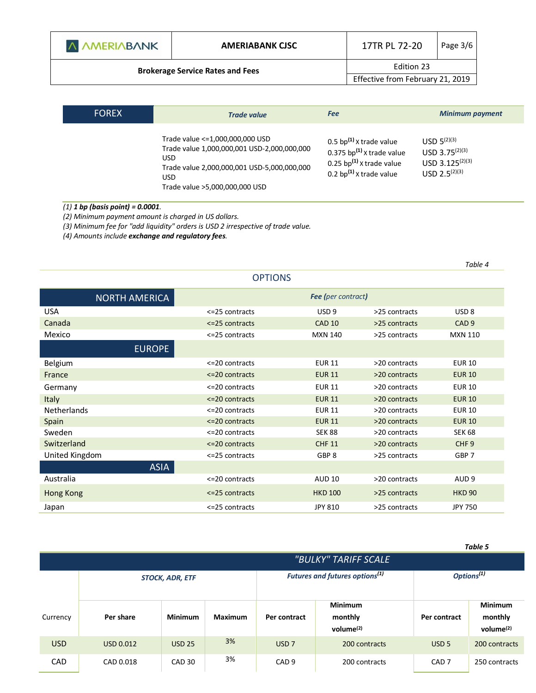| A AMERIABANK |  |  |  |  |
|--------------|--|--|--|--|
|--------------|--|--|--|--|

**Brokerage Service Rates and Fees Edition 23** 

Effective from February 21, 2019

| <b>FOREX</b> | <b>Trade value</b>                                                                                                                                                               | <b>Fee</b>                                                                                                                       | <b>Minimum payment</b>                                                                       |
|--------------|----------------------------------------------------------------------------------------------------------------------------------------------------------------------------------|----------------------------------------------------------------------------------------------------------------------------------|----------------------------------------------------------------------------------------------|
|              | Trade value <= 1,000,000,000 USD<br>Trade value 1,000,000,001 USD-2,000,000,000<br>USD.<br>Trade value 2,000,000,001 USD-5,000,000,000<br>USD.<br>Trade value >5,000,000,000 USD | 0.5 bp $^{(1)}$ x trade value<br>0.375 bp $^{(1)}$ x trade value<br>0.25 bp $^{(1)}$ x trade value<br>0.2 bp $(1)$ x trade value | $USD 5^{(2)(3)}$<br>USD 3.75 $(2)(3)$<br>USD $3.125^{(2)(3)}$<br>$USD$ 2.5 <sup>(2)(3)</sup> |

#### *(1) 1 bp (basis point) = 0.0001.*

*(2) Minimum payment amount is charged in US dollars.* 

*(3) Minimum fee for "add liquidity" orders is USD 2 irrespective of trade value.* 

*(4) Amounts include exchange and regulatory fees.* 

OPTIONS NORTH AMERICA *Fee (per contract)* USA <=25 contracts USD 9 >25 contracts USD 8 Canada <=25 contracts CAD 10 >25 contracts CAD 9 Mexico <=25 contracts MXN 140 >25 contracts MXN 110 EUROPE Belgium <=20 contracts EUR 11 >20 contracts EUR 10 France **EUR 10**  $\le$  20 contracts EUR 11  $\ge$  20 contracts EUR 10 Germany <=20 contracts EUR 11 >20 contracts EUR 10 Italy <=20 contracts EUR 11 >20 contracts EUR 10 Netherlands <=20 contracts EUR 11 >20 contracts EUR 10 Spain et al. 20 contracts (Spain et al., 20 contracts et al., 20 contracts et al., 20 contracts et al., 20 contracts et al., 20 contracts et al., 20 contracts et al., 20 contracts et al., 20 contracts et al., 20 contracts Sweden <=20 contracts SEK 88 >20 contracts SEK 68 Switzerland **Example 20 contracts** CHF 11  $\leq$  20 contracts CHF 9 United Kingdom **68P 7**  $\leq$  25 contracts GBP 8  $\geq$  25 contracts GBP 7 ASIA Australia and Australia and AUD 9 <=20 contracts AUD 10 >20 contracts AUD 9 Hong Kong <=25 contracts HKD 100 >25 contracts HKD 90 Japan <=25 contracts JPY 810 >25 contracts JPY 750

*Table 5*

*Table 4*

|            | "BULKY" TARIFF SCALE |                                                                      |         |                  |                                           |                  |                                           |
|------------|----------------------|----------------------------------------------------------------------|---------|------------------|-------------------------------------------|------------------|-------------------------------------------|
|            |                      | Futures and futures options <sup>(1)</sup><br><b>STOCK, ADR, ETF</b> |         |                  |                                           |                  | Options <sup>(1)</sup>                    |
| Currency   | Per share            | <b>Minimum</b>                                                       | Maximum | Per contract     | <b>Minimum</b><br>monthly<br>volume $(2)$ | Per contract     | <b>Minimum</b><br>monthly<br>volume $(2)$ |
| <b>USD</b> | <b>USD 0.012</b>     | <b>USD 25</b>                                                        | 3%      | USD <sub>7</sub> | 200 contracts                             | USD <sub>5</sub> | 200 contracts                             |
| <b>CAD</b> | CAD 0.018            | CAD <sub>30</sub>                                                    | 3%      | CAD <sub>9</sub> | 200 contracts                             | CAD <sub>7</sub> | 250 contracts                             |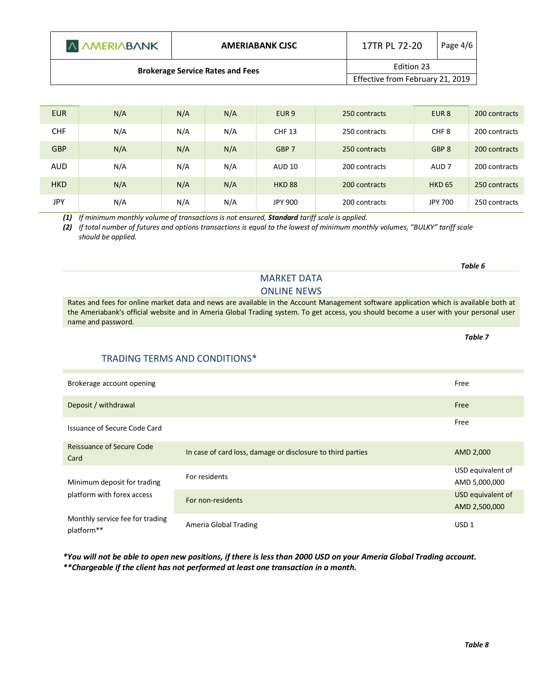| A AMERIABANK                            | <b>AMERIABANK CJSC</b>           | 17TR PL 72-20 | Page 4/6 |
|-----------------------------------------|----------------------------------|---------------|----------|
| <b>Brokerage Service Rates and Fees</b> | Edition 23                       |               |          |
|                                         | Effective from February 21, 2019 |               |          |

| <b>EUR</b> | N/A | N/A | N/A | EUR <sub>9</sub> | 250 contracts | EUR <sub>8</sub> | 200 contracts |
|------------|-----|-----|-----|------------------|---------------|------------------|---------------|
| <b>CHF</b> | N/A | N/A | N/A | <b>CHF 13</b>    | 250 contracts | CHF <sub>8</sub> | 200 contracts |
| <b>GBP</b> | N/A | N/A | N/A | GBP 7            | 250 contracts | GBP <sub>8</sub> | 200 contracts |
| <b>AUD</b> | N/A | N/A | N/A | <b>AUD 10</b>    | 200 contracts | AUD <sub>7</sub> | 200 contracts |
| <b>HKD</b> | N/A | N/A | N/A | <b>HKD 88</b>    | 200 contracts | <b>HKD 65</b>    | 250 contracts |
| JPY        | N/A | N/A | N/A | JPY 900          | 200 contracts | JPY 700          | 250 contracts |

*(1) If minimum monthly volume of transactions is not ensured, Standard tariff scale is applied.*

*(2) If total number of futures and options transactions is equal to the lowest of minimum monthly volumes, "BULKY" tariff scale should be applied.*

Rates and fees for online market data and news are available in the Account Management software application which is available both at the Ameriabank's official website and in Ameria Global Trading system. To get access, you should become a user with your personal user name and password.

MARKET DATA ONLINE NEWS

## TRADING TERMS AND CONDITIONS\*

| Brokerage account opening                                 |                                                             | Free                               |
|-----------------------------------------------------------|-------------------------------------------------------------|------------------------------------|
| Deposit / withdrawal                                      |                                                             | Free                               |
| Issuance of Secure Code Card                              |                                                             | Free                               |
| Reissuance of Secure Code<br>Card                         | In case of card loss, damage or disclosure to third parties | AMD 2,000                          |
| Minimum deposit for trading<br>platform with forex access | For residents                                               | USD equivalent of<br>AMD 5,000,000 |
|                                                           | For non-residents                                           | USD equivalent of<br>AMD 2,500,000 |
| Monthly service fee for trading<br>platform**             | Ameria Global Trading                                       | USD <sub>1</sub>                   |

*\*You will not be able to open new positions, if there is less than 2000 USD on your Ameria Global Trading account. \*\*Chargeable if the client has not performed at least one transaction in a month.* 

*Table 6*

*Table 7*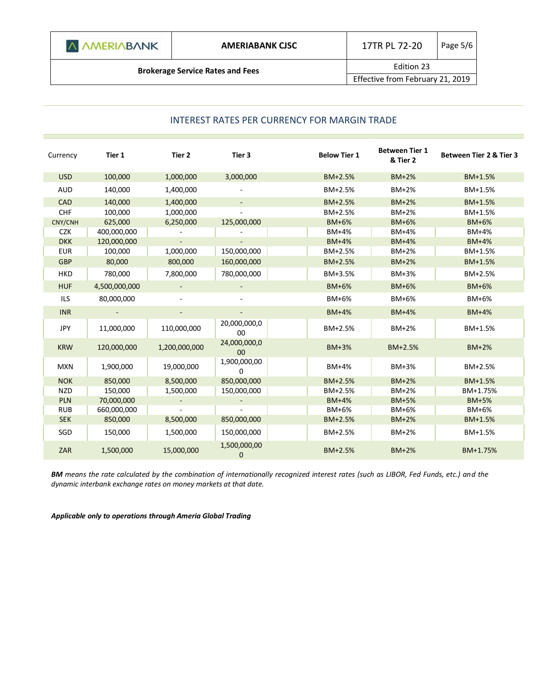**Brokerage Service Rates and Fees Edition 23** 

Effective from February 21, 2019

## INTEREST RATES PER CURRENCY FOR MARGIN TRADE

| Currency   | Tier 1        | Tier 2        | Tier 3                          | <b>Below Tier 1</b> | <b>Between Tier 1</b><br>& Tier 2 | Between Tier 2 & Tier 3 |
|------------|---------------|---------------|---------------------------------|---------------------|-----------------------------------|-------------------------|
| <b>USD</b> | 100,000       | 1,000,000     | 3,000,000                       | BM+2.5%             | <b>BM+2%</b>                      | BM+1.5%                 |
| <b>AUD</b> | 140,000       | 1,400,000     |                                 | BM+2.5%             | BM+2%                             | BM+1.5%                 |
| CAD        | 140,000       | 1,400,000     |                                 | BM+2.5%             | $BM+2%$                           | BM+1.5%                 |
| <b>CHF</b> | 100,000       | 1,000,000     |                                 | BM+2.5%             | <b>BM+2%</b>                      | BM+1.5%                 |
| CNY/CNH    | 625,000       | 6,250,000     | 125,000,000                     | <b>BM+6%</b>        | BM+6%                             | $BM+6%$                 |
| <b>CZK</b> | 400,000,000   |               |                                 | <b>BM+4%</b>        | <b>BM+4%</b>                      | <b>BM+4%</b>            |
| <b>DKK</b> | 120,000,000   |               |                                 | $BM+4%$             | <b>BM+4%</b>                      | $BM+4%$                 |
| <b>EUR</b> | 100,000       | 1,000,000     | 150,000,000                     | BM+2.5%             | BM+2%                             | BM+1.5%                 |
| <b>GBP</b> | 80,000        | 800,000       | 160,000,000                     | BM+2.5%             | <b>BM+2%</b>                      | BM+1.5%                 |
| <b>HKD</b> | 780,000       | 7,800,000     | 780,000,000                     | BM+3.5%             | BM+3%                             | BM+2.5%                 |
| <b>HUF</b> | 4,500,000,000 |               |                                 | <b>BM+6%</b>        | <b>BM+6%</b>                      | <b>BM+6%</b>            |
| <b>ILS</b> | 80,000,000    |               |                                 | BM+6%               | BM+6%                             | BM+6%                   |
| <b>INR</b> |               |               |                                 | <b>BM+4%</b>        | <b>BM+4%</b>                      | <b>BM+4%</b>            |
| <b>JPY</b> | 11,000,000    | 110,000,000   | 20,000,000,0<br>00              | BM+2.5%             | <b>BM+2%</b>                      | BM+1.5%                 |
| <b>KRW</b> | 120,000,000   | 1,200,000,000 | 24,000,000,0<br>00 <sup>°</sup> | <b>BM+3%</b>        | BM+2.5%                           | $BM+2%$                 |
| <b>MXN</b> | 1,900,000     | 19,000,000    | 1,900,000,00<br>$\Omega$        | <b>BM+4%</b>        | BM+3%                             | BM+2.5%                 |
| <b>NOK</b> | 850,000       | 8,500,000     | 850,000,000                     | BM+2.5%             | <b>BM+2%</b>                      | BM+1.5%                 |
| <b>NZD</b> | 150,000       | 1,500,000     | 150,000,000                     | BM+2.5%             | $BM+2%$                           | BM+1.75%                |
| <b>PLN</b> | 70,000,000    |               |                                 | <b>BM+4%</b>        | <b>BM+5%</b>                      | <b>BM+5%</b>            |
| <b>RUB</b> | 660,000,000   |               |                                 | BM+6%               | <b>BM+6%</b>                      | BM+6%                   |
| <b>SEK</b> | 850,000       | 8,500,000     | 850,000,000                     | BM+2.5%             | <b>BM+2%</b>                      | BM+1.5%                 |
| SGD        | 150,000       | 1,500,000     | 150,000,000                     | BM+2.5%             | BM+2%                             | BM+1.5%                 |
| ZAR        | 1,500,000     | 15,000,000    | 1,500,000,00<br>$\mathbf{0}$    | BM+2.5%             | $BM+2%$                           | BM+1.75%                |

*BM means the rate calculated by the combination of internationally recognized interest rates (such as LIBOR, Fed Funds, etc.) and the dynamic interbank exchange rates on money markets at that date.*

*Applicable only to operations through Ameria Global Trading*